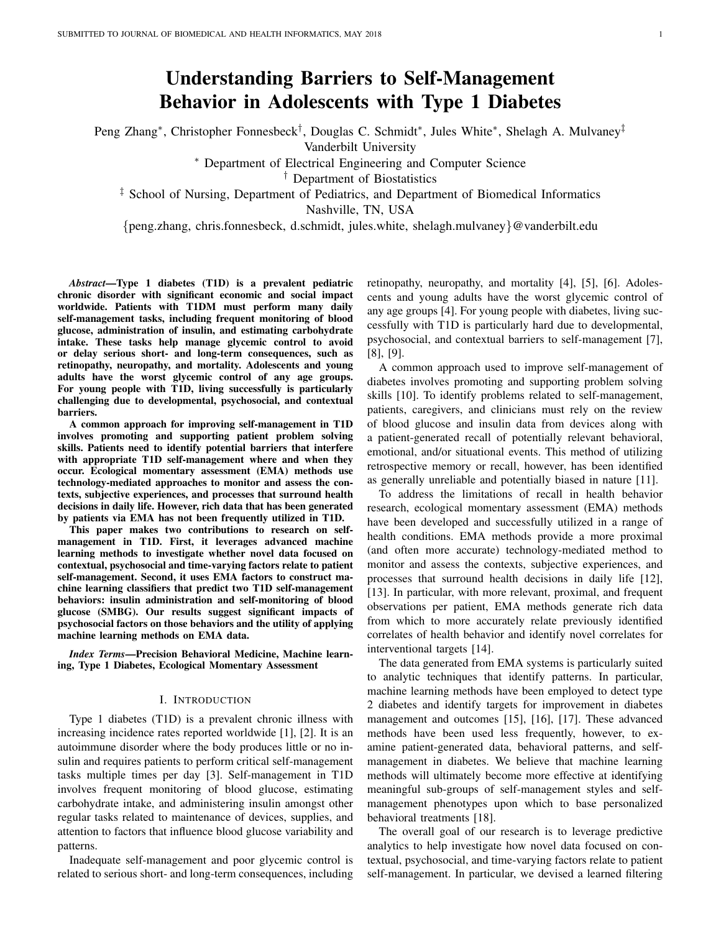# Understanding Barriers to Self-Management Behavior in Adolescents with Type 1 Diabetes

Peng Zhang\*, Christopher Fonnesbeck<sup>†</sup>, Douglas C. Schmidt<sup>\*</sup>, Jules White<sup>\*</sup>, Shelagh A. Mulvaney<sup>‡</sup>

Vanderbilt University

<sup>∗</sup> Department of Electrical Engineering and Computer Science

† Department of Biostatistics

‡ School of Nursing, Department of Pediatrics, and Department of Biomedical Informatics

Nashville, TN, USA

{peng.zhang, chris.fonnesbeck, d.schmidt, jules.white, shelagh.mulvaney}@vanderbilt.edu

*Abstract*—Type 1 diabetes (T1D) is a prevalent pediatric chronic disorder with significant economic and social impact worldwide. Patients with T1DM must perform many daily self-management tasks, including frequent monitoring of blood glucose, administration of insulin, and estimating carbohydrate intake. These tasks help manage glycemic control to avoid or delay serious short- and long-term consequences, such as retinopathy, neuropathy, and mortality. Adolescents and young adults have the worst glycemic control of any age groups. For young people with T1D, living successfully is particularly challenging due to developmental, psychosocial, and contextual barriers.

A common approach for improving self-management in T1D involves promoting and supporting patient problem solving skills. Patients need to identify potential barriers that interfere with appropriate T1D self-management where and when they occur. Ecological momentary assessment (EMA) methods use technology-mediated approaches to monitor and assess the contexts, subjective experiences, and processes that surround health decisions in daily life. However, rich data that has been generated by patients via EMA has not been frequently utilized in T1D.

This paper makes two contributions to research on selfmanagement in T1D. First, it leverages advanced machine learning methods to investigate whether novel data focused on contextual, psychosocial and time-varying factors relate to patient self-management. Second, it uses EMA factors to construct machine learning classifiers that predict two T1D self-management behaviors: insulin administration and self-monitoring of blood glucose (SMBG). Our results suggest significant impacts of psychosocial factors on those behaviors and the utility of applying machine learning methods on EMA data.

*Index Terms*—Precision Behavioral Medicine, Machine learning, Type 1 Diabetes, Ecological Momentary Assessment

#### I. INTRODUCTION

Type 1 diabetes (T1D) is a prevalent chronic illness with increasing incidence rates reported worldwide [1], [2]. It is an autoimmune disorder where the body produces little or no insulin and requires patients to perform critical self-management tasks multiple times per day [3]. Self-management in T1D involves frequent monitoring of blood glucose, estimating carbohydrate intake, and administering insulin amongst other regular tasks related to maintenance of devices, supplies, and attention to factors that influence blood glucose variability and patterns.

Inadequate self-management and poor glycemic control is related to serious short- and long-term consequences, including retinopathy, neuropathy, and mortality [4], [5], [6]. Adolescents and young adults have the worst glycemic control of any age groups [4]. For young people with diabetes, living successfully with T1D is particularly hard due to developmental, psychosocial, and contextual barriers to self-management [7], [8], [9].

A common approach used to improve self-management of diabetes involves promoting and supporting problem solving skills [10]. To identify problems related to self-management, patients, caregivers, and clinicians must rely on the review of blood glucose and insulin data from devices along with a patient-generated recall of potentially relevant behavioral, emotional, and/or situational events. This method of utilizing retrospective memory or recall, however, has been identified as generally unreliable and potentially biased in nature [11].

To address the limitations of recall in health behavior research, ecological momentary assessment (EMA) methods have been developed and successfully utilized in a range of health conditions. EMA methods provide a more proximal (and often more accurate) technology-mediated method to monitor and assess the contexts, subjective experiences, and processes that surround health decisions in daily life [12], [13]. In particular, with more relevant, proximal, and frequent observations per patient, EMA methods generate rich data from which to more accurately relate previously identified correlates of health behavior and identify novel correlates for interventional targets [14].

The data generated from EMA systems is particularly suited to analytic techniques that identify patterns. In particular, machine learning methods have been employed to detect type 2 diabetes and identify targets for improvement in diabetes management and outcomes [15], [16], [17]. These advanced methods have been used less frequently, however, to examine patient-generated data, behavioral patterns, and selfmanagement in diabetes. We believe that machine learning methods will ultimately become more effective at identifying meaningful sub-groups of self-management styles and selfmanagement phenotypes upon which to base personalized behavioral treatments [18].

The overall goal of our research is to leverage predictive analytics to help investigate how novel data focused on contextual, psychosocial, and time-varying factors relate to patient self-management. In particular, we devised a learned filtering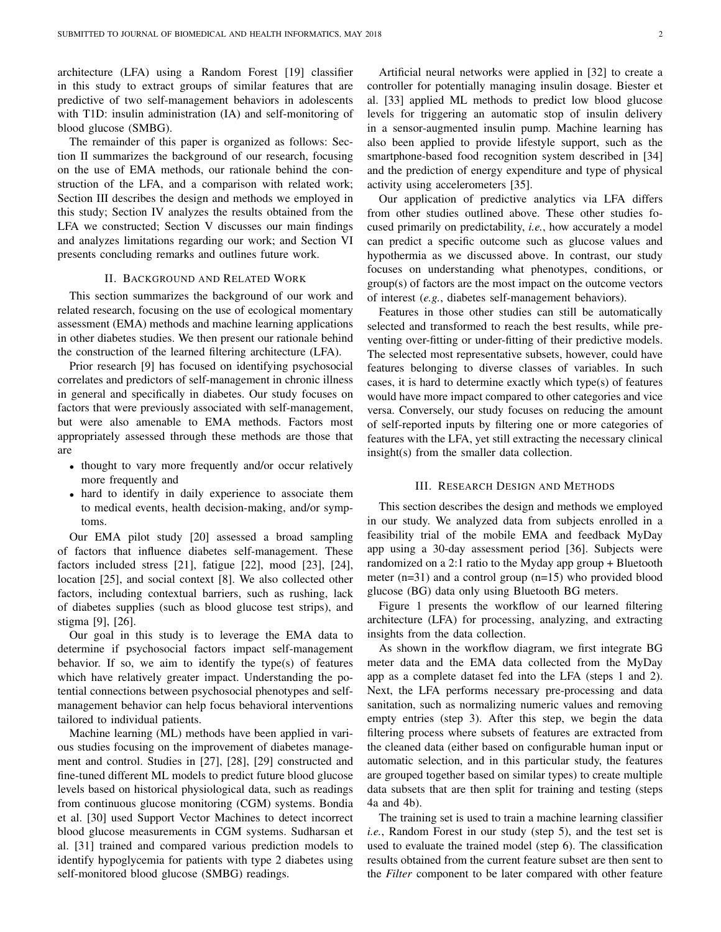architecture (LFA) using a Random Forest [19] classifier in this study to extract groups of similar features that are predictive of two self-management behaviors in adolescents with T1D: insulin administration (IA) and self-monitoring of blood glucose (SMBG).

The remainder of this paper is organized as follows: Section II summarizes the background of our research, focusing on the use of EMA methods, our rationale behind the construction of the LFA, and a comparison with related work; Section III describes the design and methods we employed in this study; Section IV analyzes the results obtained from the LFA we constructed; Section V discusses our main findings and analyzes limitations regarding our work; and Section VI presents concluding remarks and outlines future work.

#### II. BACKGROUND AND RELATED WORK

This section summarizes the background of our work and related research, focusing on the use of ecological momentary assessment (EMA) methods and machine learning applications in other diabetes studies. We then present our rationale behind the construction of the learned filtering architecture (LFA).

Prior research [9] has focused on identifying psychosocial correlates and predictors of self-management in chronic illness in general and specifically in diabetes. Our study focuses on factors that were previously associated with self-management, but were also amenable to EMA methods. Factors most appropriately assessed through these methods are those that are

- thought to vary more frequently and/or occur relatively more frequently and
- hard to identify in daily experience to associate them to medical events, health decision-making, and/or symptoms.

Our EMA pilot study [20] assessed a broad sampling of factors that influence diabetes self-management. These factors included stress [21], fatigue [22], mood [23], [24], location [25], and social context [8]. We also collected other factors, including contextual barriers, such as rushing, lack of diabetes supplies (such as blood glucose test strips), and stigma [9], [26].

Our goal in this study is to leverage the EMA data to determine if psychosocial factors impact self-management behavior. If so, we aim to identify the type(s) of features which have relatively greater impact. Understanding the potential connections between psychosocial phenotypes and selfmanagement behavior can help focus behavioral interventions tailored to individual patients.

Machine learning (ML) methods have been applied in various studies focusing on the improvement of diabetes management and control. Studies in [27], [28], [29] constructed and fine-tuned different ML models to predict future blood glucose levels based on historical physiological data, such as readings from continuous glucose monitoring (CGM) systems. Bondia et al. [30] used Support Vector Machines to detect incorrect blood glucose measurements in CGM systems. Sudharsan et al. [31] trained and compared various prediction models to identify hypoglycemia for patients with type 2 diabetes using self-monitored blood glucose (SMBG) readings.

Artificial neural networks were applied in [32] to create a controller for potentially managing insulin dosage. Biester et al. [33] applied ML methods to predict low blood glucose levels for triggering an automatic stop of insulin delivery in a sensor-augmented insulin pump. Machine learning has also been applied to provide lifestyle support, such as the smartphone-based food recognition system described in [34] and the prediction of energy expenditure and type of physical activity using accelerometers [35].

Our application of predictive analytics via LFA differs from other studies outlined above. These other studies focused primarily on predictability, *i.e.*, how accurately a model can predict a specific outcome such as glucose values and hypothermia as we discussed above. In contrast, our study focuses on understanding what phenotypes, conditions, or group(s) of factors are the most impact on the outcome vectors of interest (*e.g.*, diabetes self-management behaviors).

Features in those other studies can still be automatically selected and transformed to reach the best results, while preventing over-fitting or under-fitting of their predictive models. The selected most representative subsets, however, could have features belonging to diverse classes of variables. In such cases, it is hard to determine exactly which type(s) of features would have more impact compared to other categories and vice versa. Conversely, our study focuses on reducing the amount of self-reported inputs by filtering one or more categories of features with the LFA, yet still extracting the necessary clinical insight(s) from the smaller data collection.

#### III. RESEARCH DESIGN AND METHODS

This section describes the design and methods we employed in our study. We analyzed data from subjects enrolled in a feasibility trial of the mobile EMA and feedback MyDay app using a 30-day assessment period [36]. Subjects were randomized on a 2:1 ratio to the Myday app group + Bluetooth meter (n=31) and a control group (n=15) who provided blood glucose (BG) data only using Bluetooth BG meters.

Figure 1 presents the workflow of our learned filtering architecture (LFA) for processing, analyzing, and extracting insights from the data collection.

As shown in the workflow diagram, we first integrate BG meter data and the EMA data collected from the MyDay app as a complete dataset fed into the LFA (steps 1 and 2). Next, the LFA performs necessary pre-processing and data sanitation, such as normalizing numeric values and removing empty entries (step 3). After this step, we begin the data filtering process where subsets of features are extracted from the cleaned data (either based on configurable human input or automatic selection, and in this particular study, the features are grouped together based on similar types) to create multiple data subsets that are then split for training and testing (steps 4a and 4b).

The training set is used to train a machine learning classifier *i.e.*, Random Forest in our study (step 5), and the test set is used to evaluate the trained model (step 6). The classification results obtained from the current feature subset are then sent to the *Filter* component to be later compared with other feature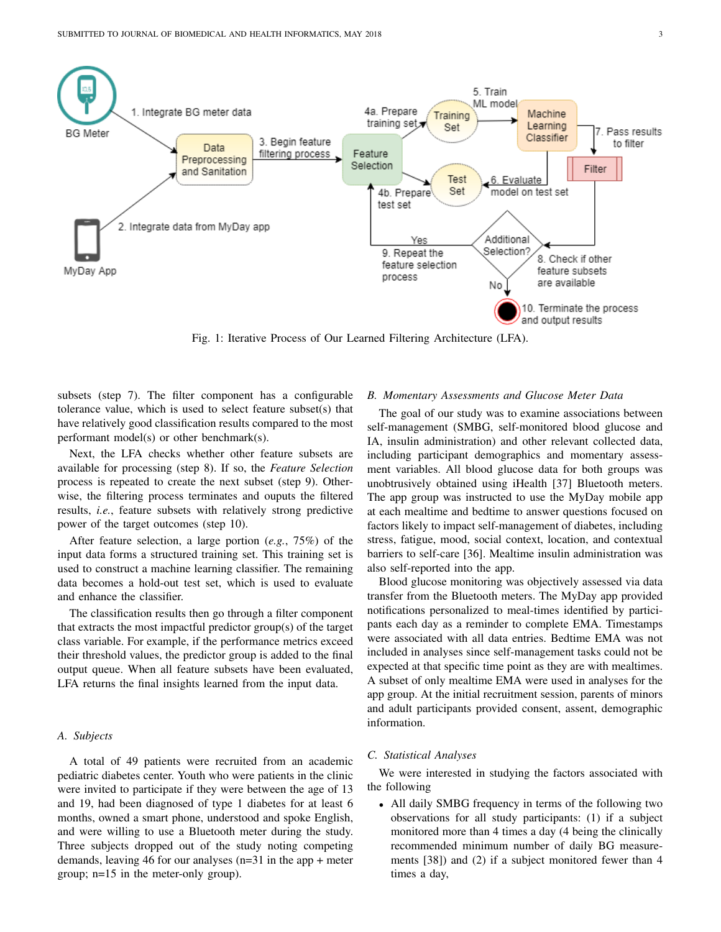

Fig. 1: Iterative Process of Our Learned Filtering Architecture (LFA).

subsets (step 7). The filter component has a configurable tolerance value, which is used to select feature subset(s) that have relatively good classification results compared to the most performant model(s) or other benchmark(s).

Next, the LFA checks whether other feature subsets are available for processing (step 8). If so, the *Feature Selection* process is repeated to create the next subset (step 9). Otherwise, the filtering process terminates and ouputs the filtered results, *i.e.*, feature subsets with relatively strong predictive power of the target outcomes (step 10).

After feature selection, a large portion (*e.g.*, 75%) of the input data forms a structured training set. This training set is used to construct a machine learning classifier. The remaining data becomes a hold-out test set, which is used to evaluate and enhance the classifier.

The classification results then go through a filter component that extracts the most impactful predictor group(s) of the target class variable. For example, if the performance metrics exceed their threshold values, the predictor group is added to the final output queue. When all feature subsets have been evaluated, LFA returns the final insights learned from the input data.

## *A. Subjects*

A total of 49 patients were recruited from an academic pediatric diabetes center. Youth who were patients in the clinic were invited to participate if they were between the age of 13 and 19, had been diagnosed of type 1 diabetes for at least 6 months, owned a smart phone, understood and spoke English, and were willing to use a Bluetooth meter during the study. Three subjects dropped out of the study noting competing demands, leaving 46 for our analyses (n=31 in the app + meter group; n=15 in the meter-only group).

## *B. Momentary Assessments and Glucose Meter Data*

The goal of our study was to examine associations between self-management (SMBG, self-monitored blood glucose and IA, insulin administration) and other relevant collected data, including participant demographics and momentary assessment variables. All blood glucose data for both groups was unobtrusively obtained using iHealth [37] Bluetooth meters. The app group was instructed to use the MyDay mobile app at each mealtime and bedtime to answer questions focused on factors likely to impact self-management of diabetes, including stress, fatigue, mood, social context, location, and contextual barriers to self-care [36]. Mealtime insulin administration was also self-reported into the app.

Blood glucose monitoring was objectively assessed via data transfer from the Bluetooth meters. The MyDay app provided notifications personalized to meal-times identified by participants each day as a reminder to complete EMA. Timestamps were associated with all data entries. Bedtime EMA was not included in analyses since self-management tasks could not be expected at that specific time point as they are with mealtimes. A subset of only mealtime EMA were used in analyses for the app group. At the initial recruitment session, parents of minors and adult participants provided consent, assent, demographic information.

## *C. Statistical Analyses*

We were interested in studying the factors associated with the following

• All daily SMBG frequency in terms of the following two observations for all study participants: (1) if a subject monitored more than 4 times a day (4 being the clinically recommended minimum number of daily BG measurements [38]) and (2) if a subject monitored fewer than 4 times a day,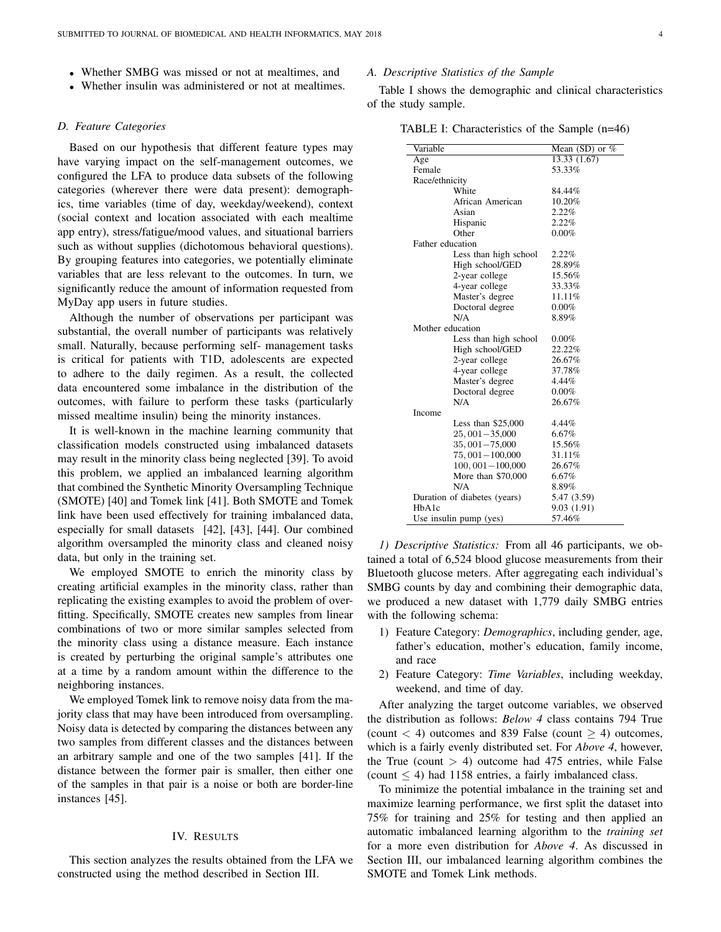- Whether SMBG was missed or not at mealtimes, and
- Whether insulin was administered or not at mealtimes.

#### *D. Feature Categories*

Based on our hypothesis that different feature types may have varying impact on the self-management outcomes, we configured the LFA to produce data subsets of the following categories (wherever there were data present): demographics, time variables (time of day, weekday/weekend), context (social context and location associated with each mealtime app entry), stress/fatigue/mood values, and situational barriers such as without supplies (dichotomous behavioral questions). By grouping features into categories, we potentially eliminate variables that are less relevant to the outcomes. In turn, we significantly reduce the amount of information requested from MyDay app users in future studies.

Although the number of observations per participant was substantial, the overall number of participants was relatively small. Naturally, because performing self- management tasks is critical for patients with T1D, adolescents are expected to adhere to the daily regimen. As a result, the collected data encountered some imbalance in the distribution of the outcomes, with failure to perform these tasks (particularly missed mealtime insulin) being the minority instances.

It is well-known in the machine learning community that classification models constructed using imbalanced datasets may result in the minority class being neglected [39]. To avoid this problem, we applied an imbalanced learning algorithm that combined the Synthetic Minority Oversampling Technique (SMOTE) [40] and Tomek link [41]. Both SMOTE and Tomek link have been used effectively for training imbalanced data, especially for small datasets [42], [43], [44]. Our combined algorithm oversampled the minority class and cleaned noisy data, but only in the training set.

We employed SMOTE to enrich the minority class by creating artificial examples in the minority class, rather than replicating the existing examples to avoid the problem of overfitting. Specifically, SMOTE creates new samples from linear combinations of two or more similar samples selected from the minority class using a distance measure. Each instance is created by perturbing the original sample's attributes one at a time by a random amount within the difference to the neighboring instances.

We employed Tomek link to remove noisy data from the majority class that may have been introduced from oversampling. Noisy data is detected by comparing the distances between any two samples from different classes and the distances between an arbitrary sample and one of the two samples [41]. If the distance between the former pair is smaller, then either one of the samples in that pair is a noise or both are border-line instances [45].

## IV. RESULTS

This section analyzes the results obtained from the LFA we constructed using the method described in Section III.

## *A. Descriptive Statistics of the Sample*

Table I shows the demographic and clinical characteristics of the study sample.

TABLE I: Characteristics of the Sample (n=46)

| Variable<br>Mean (SD) or $%$<br>13.33 (1.67)<br>Age<br>53.33%<br>Female<br>Race/ethnicity<br>White<br>84.44%<br>African American<br>10.20%<br>2.22%<br>Asian<br>2.22%<br>Hispanic<br>Other<br>$0.00\%$<br>Father education<br>Less than high school<br>2.22% |
|--------------------------------------------------------------------------------------------------------------------------------------------------------------------------------------------------------------------------------------------------------------|
|                                                                                                                                                                                                                                                              |
|                                                                                                                                                                                                                                                              |
|                                                                                                                                                                                                                                                              |
|                                                                                                                                                                                                                                                              |
|                                                                                                                                                                                                                                                              |
|                                                                                                                                                                                                                                                              |
|                                                                                                                                                                                                                                                              |
|                                                                                                                                                                                                                                                              |
|                                                                                                                                                                                                                                                              |
|                                                                                                                                                                                                                                                              |
|                                                                                                                                                                                                                                                              |
| 28.89%<br>High school/GED                                                                                                                                                                                                                                    |
| 15.56%<br>2-year college                                                                                                                                                                                                                                     |
| 4-year college<br>33.33%                                                                                                                                                                                                                                     |
| Master's degree<br>11.11%                                                                                                                                                                                                                                    |
| $0.00\%$<br>Doctoral degree                                                                                                                                                                                                                                  |
| N/A<br>8.89%                                                                                                                                                                                                                                                 |
| Mother education                                                                                                                                                                                                                                             |
| Less than high school<br>$0.00\%$                                                                                                                                                                                                                            |
| High school/GED<br>22.22%                                                                                                                                                                                                                                    |
| 2-year college<br>26.67%                                                                                                                                                                                                                                     |
| 4-year college<br>37.78%                                                                                                                                                                                                                                     |
| Master's degree<br>4.44%                                                                                                                                                                                                                                     |
| Doctoral degree<br>$0.00\%$                                                                                                                                                                                                                                  |
| N/A<br>26.67%                                                                                                                                                                                                                                                |
| Income                                                                                                                                                                                                                                                       |
| Less than $$25,000$<br>4.44%                                                                                                                                                                                                                                 |
| $25,001 - 35,000$<br>6.67%                                                                                                                                                                                                                                   |
| $35,001 - 75,000$<br>15.56%                                                                                                                                                                                                                                  |
| 75, 001 - 100,000<br>31.11%                                                                                                                                                                                                                                  |
| $100,001 - 100,000$<br>26.67%                                                                                                                                                                                                                                |
| More than \$70,000<br>6.67%                                                                                                                                                                                                                                  |
| N/A<br>8.89%                                                                                                                                                                                                                                                 |
| Duration of diabetes (years)<br>5.47 (3.59)                                                                                                                                                                                                                  |
| 9.03 (1.91)<br>HbA1c                                                                                                                                                                                                                                         |
| 57.46%<br>Use insulin pump (yes)                                                                                                                                                                                                                             |

*1) Descriptive Statistics:* From all 46 participants, we obtained a total of 6,524 blood glucose measurements from their Bluetooth glucose meters. After aggregating each individual's SMBG counts by day and combining their demographic data, we produced a new dataset with 1,779 daily SMBG entries with the following schema:

- 1) Feature Category: *Demographics*, including gender, age, father's education, mother's education, family income, and race
- 2) Feature Category: *Time Variables*, including weekday, weekend, and time of day.

After analyzing the target outcome variables, we observed the distribution as follows: *Below 4* class contains 794 True (count  $<$  4) outcomes and 839 False (count  $>$  4) outcomes, which is a fairly evenly distributed set. For *Above 4*, however, the True (count  $> 4$ ) outcome had 475 entries, while False (count  $\leq$  4) had 1158 entries, a fairly imbalanced class.

To minimize the potential imbalance in the training set and maximize learning performance, we first split the dataset into 75% for training and 25% for testing and then applied an automatic imbalanced learning algorithm to the *training set* for a more even distribution for *Above 4*. As discussed in Section III, our imbalanced learning algorithm combines the SMOTE and Tomek Link methods.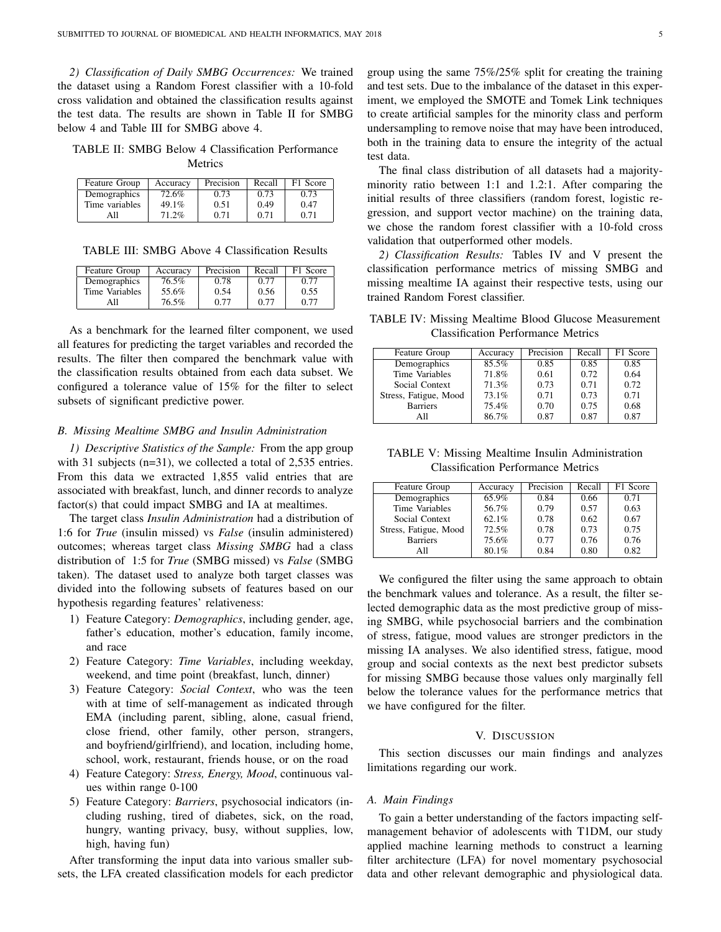*2) Classification of Daily SMBG Occurrences:* We trained the dataset using a Random Forest classifier with a 10-fold cross validation and obtained the classification results against the test data. The results are shown in Table II for SMBG below 4 and Table III for SMBG above 4.

TABLE II: SMBG Below 4 Classification Performance Metrics

| Feature Group  | Accuracy | Precision | Recall | F1 Score |
|----------------|----------|-----------|--------|----------|
| Demographics   | 72.6%    | 0.73      | 0.73   | 0.73     |
| Time variables | 49.1%    | 0.51      | 0.49   | 0.47     |
| All            | 71.2%    | 0.71      | 0.71   | 0.71     |

TABLE III: SMBG Above 4 Classification Results

| Feature Group  | Accuracy | Precision | Recall | F1 Score |
|----------------|----------|-----------|--------|----------|
| Demographics   | 76.5%    | 0.78      | 0.77   | 0.77     |
| Time Variables | 55.6%    | 0.54      | 0.56   | 0.55     |
| A 11           | 76.5%    | 0.77      | 0.77   | 0.77     |

As a benchmark for the learned filter component, we used all features for predicting the target variables and recorded the results. The filter then compared the benchmark value with the classification results obtained from each data subset. We configured a tolerance value of 15% for the filter to select subsets of significant predictive power.

#### *B. Missing Mealtime SMBG and Insulin Administration*

*1) Descriptive Statistics of the Sample:* From the app group with 31 subjects (n=31), we collected a total of 2,535 entries. From this data we extracted 1,855 valid entries that are associated with breakfast, lunch, and dinner records to analyze factor(s) that could impact SMBG and IA at mealtimes.

The target class *Insulin Administration* had a distribution of 1:6 for *True* (insulin missed) vs *False* (insulin administered) outcomes; whereas target class *Missing SMBG* had a class distribution of 1:5 for *True* (SMBG missed) vs *False* (SMBG taken). The dataset used to analyze both target classes was divided into the following subsets of features based on our hypothesis regarding features' relativeness:

- 1) Feature Category: *Demographics*, including gender, age, father's education, mother's education, family income, and race
- 2) Feature Category: *Time Variables*, including weekday, weekend, and time point (breakfast, lunch, dinner)
- 3) Feature Category: *Social Context*, who was the teen with at time of self-management as indicated through EMA (including parent, sibling, alone, casual friend, close friend, other family, other person, strangers, and boyfriend/girlfriend), and location, including home, school, work, restaurant, friends house, or on the road
- 4) Feature Category: *Stress, Energy, Mood*, continuous values within range 0-100
- 5) Feature Category: *Barriers*, psychosocial indicators (including rushing, tired of diabetes, sick, on the road, hungry, wanting privacy, busy, without supplies, low, high, having fun)

After transforming the input data into various smaller subsets, the LFA created classification models for each predictor group using the same 75%/25% split for creating the training and test sets. Due to the imbalance of the dataset in this experiment, we employed the SMOTE and Tomek Link techniques to create artificial samples for the minority class and perform undersampling to remove noise that may have been introduced, both in the training data to ensure the integrity of the actual test data.

The final class distribution of all datasets had a majorityminority ratio between 1:1 and 1.2:1. After comparing the initial results of three classifiers (random forest, logistic regression, and support vector machine) on the training data, we chose the random forest classifier with a 10-fold cross validation that outperformed other models.

*2) Classification Results:* Tables IV and V present the classification performance metrics of missing SMBG and missing mealtime IA against their respective tests, using our trained Random Forest classifier.

TABLE IV: Missing Mealtime Blood Glucose Measurement Classification Performance Metrics

| F1 Score |
|----------|
| 0.85     |
| 0.64     |
| 0.72     |
| 0.71     |
| 0.68     |
| 0.87     |
|          |

TABLE V: Missing Mealtime Insulin Administration Classification Performance Metrics

| Feature Group         | Accuracy | Precision | Recall | F1 Score |
|-----------------------|----------|-----------|--------|----------|
| Demographics          | 65.9%    | 0.84      | 0.66   | 0.71     |
| Time Variables        | 56.7%    | 0.79      | 0.57   | 0.63     |
| Social Context        | 62.1%    | 0.78      | 0.62   | 0.67     |
| Stress, Fatigue, Mood | 72.5%    | 0.78      | 0.73   | 0.75     |
| <b>Barriers</b>       | 75.6%    | 0.77      | 0.76   | 0.76     |
| A11                   | 80.1%    | 0.84      | 0.80   | 0.82     |

We configured the filter using the same approach to obtain the benchmark values and tolerance. As a result, the filter selected demographic data as the most predictive group of missing SMBG, while psychosocial barriers and the combination of stress, fatigue, mood values are stronger predictors in the missing IA analyses. We also identified stress, fatigue, mood group and social contexts as the next best predictor subsets for missing SMBG because those values only marginally fell below the tolerance values for the performance metrics that we have configured for the filter.

## V. DISCUSSION

This section discusses our main findings and analyzes limitations regarding our work.

#### *A. Main Findings*

To gain a better understanding of the factors impacting selfmanagement behavior of adolescents with T1DM, our study applied machine learning methods to construct a learning filter architecture (LFA) for novel momentary psychosocial data and other relevant demographic and physiological data.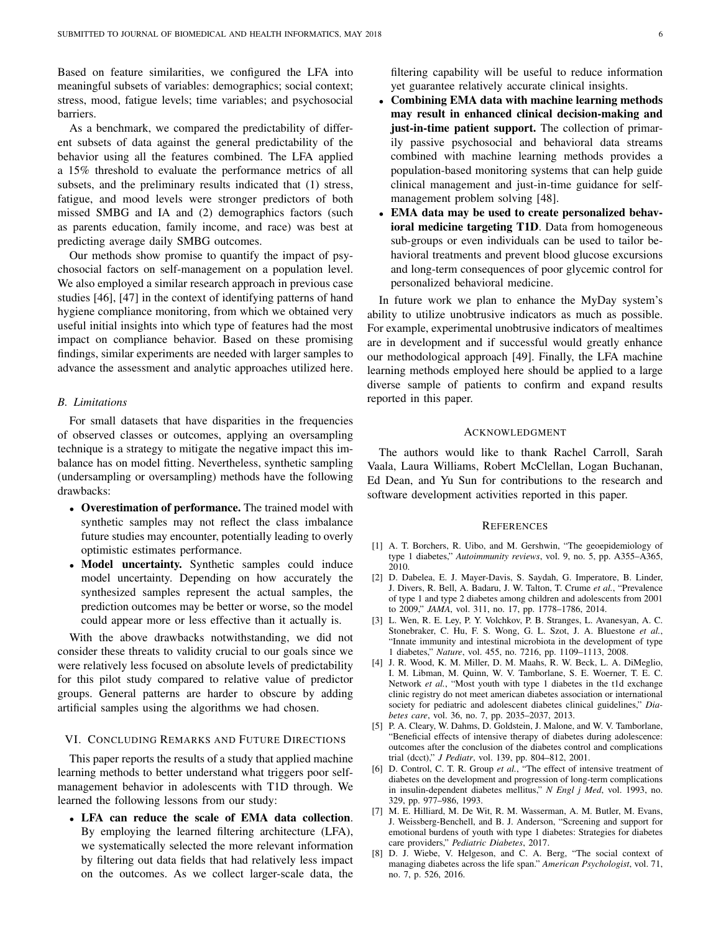Based on feature similarities, we configured the LFA into meaningful subsets of variables: demographics; social context; stress, mood, fatigue levels; time variables; and psychosocial barriers.

As a benchmark, we compared the predictability of different subsets of data against the general predictability of the behavior using all the features combined. The LFA applied a 15% threshold to evaluate the performance metrics of all subsets, and the preliminary results indicated that (1) stress, fatigue, and mood levels were stronger predictors of both missed SMBG and IA and (2) demographics factors (such as parents education, family income, and race) was best at predicting average daily SMBG outcomes.

Our methods show promise to quantify the impact of psychosocial factors on self-management on a population level. We also employed a similar research approach in previous case studies [46], [47] in the context of identifying patterns of hand hygiene compliance monitoring, from which we obtained very useful initial insights into which type of features had the most impact on compliance behavior. Based on these promising findings, similar experiments are needed with larger samples to advance the assessment and analytic approaches utilized here.

#### *B. Limitations*

For small datasets that have disparities in the frequencies of observed classes or outcomes, applying an oversampling technique is a strategy to mitigate the negative impact this imbalance has on model fitting. Nevertheless, synthetic sampling (undersampling or oversampling) methods have the following drawbacks:

- Overestimation of performance. The trained model with synthetic samples may not reflect the class imbalance future studies may encounter, potentially leading to overly optimistic estimates performance.
- Model uncertainty. Synthetic samples could induce model uncertainty. Depending on how accurately the synthesized samples represent the actual samples, the prediction outcomes may be better or worse, so the model could appear more or less effective than it actually is.

With the above drawbacks notwithstanding, we did not consider these threats to validity crucial to our goals since we were relatively less focused on absolute levels of predictability for this pilot study compared to relative value of predictor groups. General patterns are harder to obscure by adding artificial samples using the algorithms we had chosen.

## VI. CONCLUDING REMARKS AND FUTURE DIRECTIONS

This paper reports the results of a study that applied machine learning methods to better understand what triggers poor selfmanagement behavior in adolescents with T1D through. We learned the following lessons from our study:

• LFA can reduce the scale of EMA data collection. By employing the learned filtering architecture (LFA), we systematically selected the more relevant information by filtering out data fields that had relatively less impact on the outcomes. As we collect larger-scale data, the

filtering capability will be useful to reduce information yet guarantee relatively accurate clinical insights.

- Combining EMA data with machine learning methods may result in enhanced clinical decision-making and just-in-time patient support. The collection of primarily passive psychosocial and behavioral data streams combined with machine learning methods provides a population-based monitoring systems that can help guide clinical management and just-in-time guidance for selfmanagement problem solving [48].
- EMA data may be used to create personalized behavioral medicine targeting T1D. Data from homogeneous sub-groups or even individuals can be used to tailor behavioral treatments and prevent blood glucose excursions and long-term consequences of poor glycemic control for personalized behavioral medicine.

In future work we plan to enhance the MyDay system's ability to utilize unobtrusive indicators as much as possible. For example, experimental unobtrusive indicators of mealtimes are in development and if successful would greatly enhance our methodological approach [49]. Finally, the LFA machine learning methods employed here should be applied to a large diverse sample of patients to confirm and expand results reported in this paper.

### ACKNOWLEDGMENT

The authors would like to thank Rachel Carroll, Sarah Vaala, Laura Williams, Robert McClellan, Logan Buchanan, Ed Dean, and Yu Sun for contributions to the research and software development activities reported in this paper.

#### **REFERENCES**

- [1] A. T. Borchers, R. Uibo, and M. Gershwin, "The geoepidemiology of type 1 diabetes," *Autoimmunity reviews*, vol. 9, no. 5, pp. A355–A365, 2010.
- [2] D. Dabelea, E. J. Mayer-Davis, S. Saydah, G. Imperatore, B. Linder, J. Divers, R. Bell, A. Badaru, J. W. Talton, T. Crume *et al.*, "Prevalence of type 1 and type 2 diabetes among children and adolescents from 2001 to 2009," *JAMA*, vol. 311, no. 17, pp. 1778–1786, 2014.
- [3] L. Wen, R. E. Ley, P. Y. Volchkov, P. B. Stranges, L. Avanesyan, A. C. Stonebraker, C. Hu, F. S. Wong, G. L. Szot, J. A. Bluestone *et al.*, "Innate immunity and intestinal microbiota in the development of type 1 diabetes," *Nature*, vol. 455, no. 7216, pp. 1109–1113, 2008.
- [4] J. R. Wood, K. M. Miller, D. M. Maahs, R. W. Beck, L. A. DiMeglio, I. M. Libman, M. Quinn, W. V. Tamborlane, S. E. Woerner, T. E. C. Network *et al.*, "Most youth with type 1 diabetes in the t1d exchange clinic registry do not meet american diabetes association or international society for pediatric and adolescent diabetes clinical guidelines," *Diabetes care*, vol. 36, no. 7, pp. 2035–2037, 2013.
- [5] P. A. Cleary, W. Dahms, D. Goldstein, J. Malone, and W. V. Tamborlane, "Beneficial effects of intensive therapy of diabetes during adolescence: outcomes after the conclusion of the diabetes control and complications trial (dcct)," *J Pediatr*, vol. 139, pp. 804–812, 2001.
- [6] D. Control, C. T. R. Group *et al.*, "The effect of intensive treatment of diabetes on the development and progression of long-term complications in insulin-dependent diabetes mellitus," *N Engl j Med*, vol. 1993, no. 329, pp. 977–986, 1993.
- [7] M. E. Hilliard, M. De Wit, R. M. Wasserman, A. M. Butler, M. Evans, J. Weissberg-Benchell, and B. J. Anderson, "Screening and support for emotional burdens of youth with type 1 diabetes: Strategies for diabetes care providers," *Pediatric Diabetes*, 2017.
- [8] D. J. Wiebe, V. Helgeson, and C. A. Berg, "The social context of managing diabetes across the life span." *American Psychologist*, vol. 71, no. 7, p. 526, 2016.